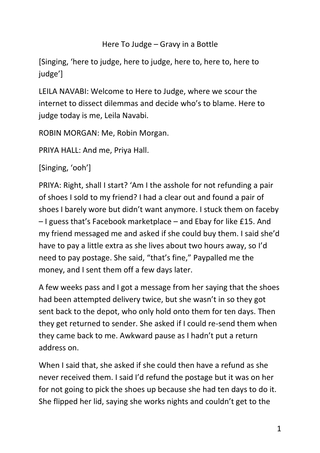## Here To Judge – Gravy in a Bottle

[Singing, 'here to judge, here to judge, here to, here to, here to judge']

LEILA NAVABI: Welcome to Here to Judge, where we scour the internet to dissect dilemmas and decide who's to blame. Here to judge today is me, Leila Navabi.

ROBIN MORGAN: Me, Robin Morgan.

PRIYA HALL: And me, Priya Hall.

[Singing, 'ooh']

PRIYA: Right, shall I start? 'Am I the asshole for not refunding a pair of shoes I sold to my friend? I had a clear out and found a pair of shoes I barely wore but didn't want anymore. I stuck them on faceby – I guess that's Facebook marketplace – and Ebay for like £15. And my friend messaged me and asked if she could buy them. I said she'd have to pay a little extra as she lives about two hours away, so I'd need to pay postage. She said, "that's fine," Paypalled me the money, and I sent them off a few days later.

A few weeks pass and I got a message from her saying that the shoes had been attempted delivery twice, but she wasn't in so they got sent back to the depot, who only hold onto them for ten days. Then they get returned to sender. She asked if I could re-send them when they came back to me. Awkward pause as I hadn't put a return address on.

When I said that, she asked if she could then have a refund as she never received them. I said I'd refund the postage but it was on her for not going to pick the shoes up because she had ten days to do it. She flipped her lid, saying she works nights and couldn't get to the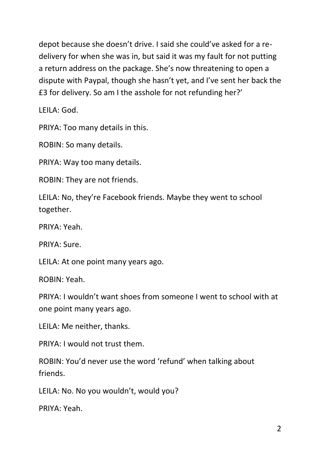depot because she doesn't drive. I said she could've asked for a redelivery for when she was in, but said it was my fault for not putting a return address on the package. She's now threatening to open a dispute with Paypal, though she hasn't yet, and I've sent her back the £3 for delivery. So am I the asshole for not refunding her?'

LEILA: God.

PRIYA: Too many details in this.

ROBIN: So many details.

PRIYA: Way too many details.

ROBIN: They are not friends.

LEILA: No, they're Facebook friends. Maybe they went to school together.

PRIYA: Yeah.

PRIYA: Sure.

LEILA: At one point many years ago.

ROBIN: Yeah.

PRIYA: I wouldn't want shoes from someone I went to school with at one point many years ago.

LEILA: Me neither, thanks.

PRIYA: I would not trust them.

ROBIN: You'd never use the word 'refund' when talking about friends.

LEILA: No. No you wouldn't, would you?

PRIYA: Yeah.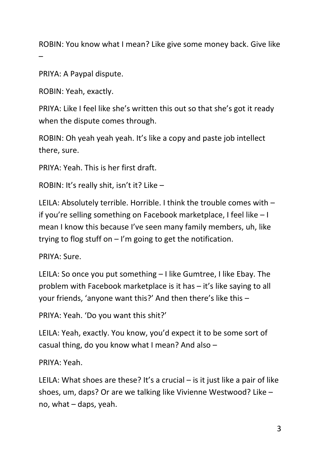ROBIN: You know what I mean? Like give some money back. Give like –

PRIYA: A Paypal dispute.

ROBIN: Yeah, exactly.

PRIYA: Like I feel like she's written this out so that she's got it ready when the dispute comes through.

ROBIN: Oh yeah yeah yeah. It's like a copy and paste job intellect there, sure.

PRIYA: Yeah. This is her first draft.

ROBIN: It's really shit, isn't it? Like –

LEILA: Absolutely terrible. Horrible. I think the trouble comes with – if you're selling something on Facebook marketplace, I feel like – I mean I know this because I've seen many family members, uh, like trying to flog stuff on  $-1$ 'm going to get the notification.

PRIYA: Sure.

LEILA: So once you put something – I like Gumtree, I like Ebay. The problem with Facebook marketplace is it has – it's like saying to all your friends, 'anyone want this?' And then there's like this –

PRIYA: Yeah. 'Do you want this shit?'

LEILA: Yeah, exactly. You know, you'd expect it to be some sort of casual thing, do you know what I mean? And also –

PRIYA: Yeah.

LEILA: What shoes are these? It's a crucial  $-$  is it just like a pair of like shoes, um, daps? Or are we talking like Vivienne Westwood? Like – no, what – daps, yeah.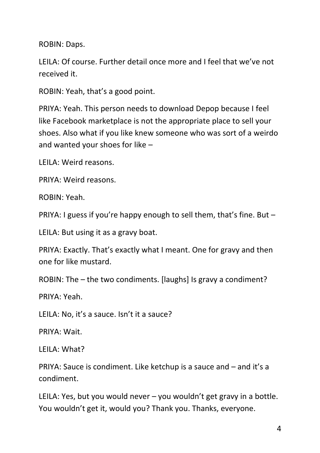ROBIN: Daps.

LEILA: Of course. Further detail once more and I feel that we've not received it.

ROBIN: Yeah, that's a good point.

PRIYA: Yeah. This person needs to download Depop because I feel like Facebook marketplace is not the appropriate place to sell your shoes. Also what if you like knew someone who was sort of a weirdo and wanted your shoes for like –

LEILA: Weird reasons.

PRIYA: Weird reasons.

ROBIN: Yeah.

PRIYA: I guess if you're happy enough to sell them, that's fine. But –

LEILA: But using it as a gravy boat.

PRIYA: Exactly. That's exactly what I meant. One for gravy and then one for like mustard.

ROBIN: The – the two condiments. [laughs] Is gravy a condiment?

PRIYA: Yeah.

LEILA: No, it's a sauce. Isn't it a sauce?

PRIYA: Wait.

LEILA: What?

PRIYA: Sauce is condiment. Like ketchup is a sauce and – and it's a condiment.

LEILA: Yes, but you would never – you wouldn't get gravy in a bottle. You wouldn't get it, would you? Thank you. Thanks, everyone.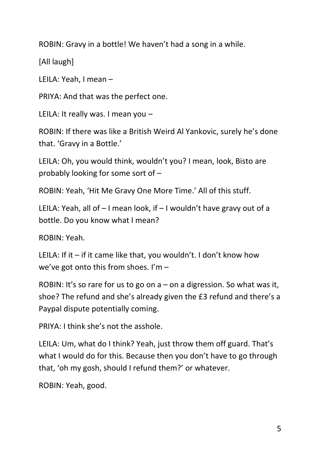ROBIN: Gravy in a bottle! We haven't had a song in a while.

[All laugh]

LEILA: Yeah, I mean –

PRIYA: And that was the perfect one.

LEILA: It really was. I mean you –

ROBIN: If there was like a British Weird Al Yankovic, surely he's done that. 'Gravy in a Bottle.'

LEILA: Oh, you would think, wouldn't you? I mean, look, Bisto are probably looking for some sort of –

ROBIN: Yeah, 'Hit Me Gravy One More Time.' All of this stuff.

LEILA: Yeah, all of – I mean look, if – I wouldn't have gravy out of a bottle. Do you know what I mean?

ROBIN: Yeah.

LEILA: If it – if it came like that, you wouldn't. I don't know how we've got onto this from shoes. I'm –

ROBIN: It's so rare for us to go on  $a$  – on a digression. So what was it, shoe? The refund and she's already given the £3 refund and there's a Paypal dispute potentially coming.

PRIYA: I think she's not the asshole.

LEILA: Um, what do I think? Yeah, just throw them off guard. That's what I would do for this. Because then you don't have to go through that, 'oh my gosh, should I refund them?' or whatever.

ROBIN: Yeah, good.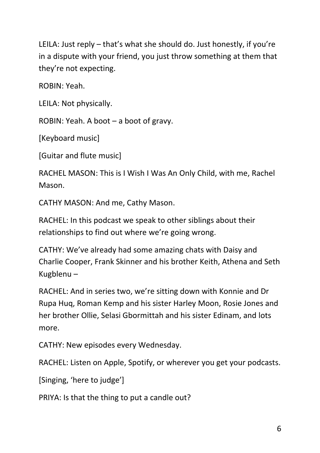LEILA: Just reply – that's what she should do. Just honestly, if you're in a dispute with your friend, you just throw something at them that they're not expecting.

ROBIN: Yeah.

LEILA: Not physically.

ROBIN: Yeah. A boot – a boot of gravy.

[Keyboard music]

[Guitar and flute music]

RACHEL MASON: This is I Wish I Was An Only Child, with me, Rachel Mason.

CATHY MASON: And me, Cathy Mason.

RACHEL: In this podcast we speak to other siblings about their relationships to find out where we're going wrong.

CATHY: We've already had some amazing chats with Daisy and Charlie Cooper, Frank Skinner and his brother Keith, Athena and Seth Kugblenu –

RACHEL: And in series two, we're sitting down with Konnie and Dr Rupa Huq, Roman Kemp and his sister Harley Moon, Rosie Jones and her brother Ollie, Selasi Gbormittah and his sister Edinam, and lots more.

CATHY: New episodes every Wednesday.

RACHEL: Listen on Apple, Spotify, or wherever you get your podcasts.

[Singing, 'here to judge']

PRIYA: Is that the thing to put a candle out?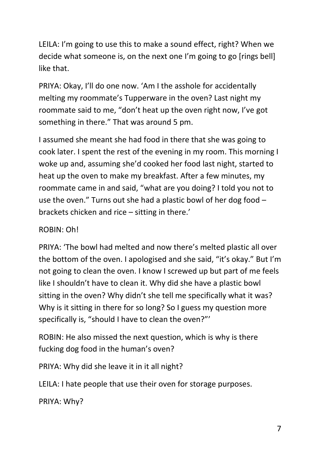LEILA: I'm going to use this to make a sound effect, right? When we decide what someone is, on the next one I'm going to go [rings bell] like that.

PRIYA: Okay, I'll do one now. 'Am I the asshole for accidentally melting my roommate's Tupperware in the oven? Last night my roommate said to me, "don't heat up the oven right now, I've got something in there." That was around 5 pm.

I assumed she meant she had food in there that she was going to cook later. I spent the rest of the evening in my room. This morning I woke up and, assuming she'd cooked her food last night, started to heat up the oven to make my breakfast. After a few minutes, my roommate came in and said, "what are you doing? I told you not to use the oven." Turns out she had a plastic bowl of her dog food – brackets chicken and rice – sitting in there.'

## ROBIN: Oh!

PRIYA: 'The bowl had melted and now there's melted plastic all over the bottom of the oven. I apologised and she said, "it's okay." But I'm not going to clean the oven. I know I screwed up but part of me feels like I shouldn't have to clean it. Why did she have a plastic bowl sitting in the oven? Why didn't she tell me specifically what it was? Why is it sitting in there for so long? So I guess my question more specifically is, "should I have to clean the oven?"'

ROBIN: He also missed the next question, which is why is there fucking dog food in the human's oven?

PRIYA: Why did she leave it in it all night?

LEILA: I hate people that use their oven for storage purposes.

PRIYA: Why?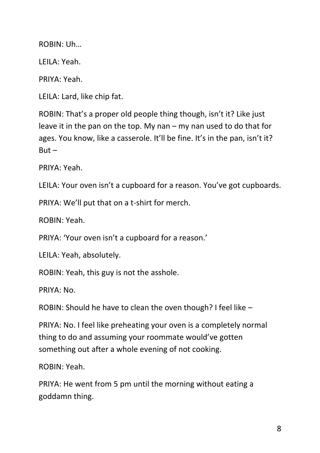ROBIN: Uh…

LEILA: Yeah.

PRIYA: Yeah.

LEILA: Lard, like chip fat.

ROBIN: That's a proper old people thing though, isn't it? Like just leave it in the pan on the top. My nan – my nan used to do that for ages. You know, like a casserole. It'll be fine. It's in the pan, isn't it?  $But -$ 

PRIYA: Yeah.

LEILA: Your oven isn't a cupboard for a reason. You've got cupboards.

PRIYA: We'll put that on a t-shirt for merch.

ROBIN: Yeah.

PRIYA: 'Your oven isn't a cupboard for a reason.'

LEILA: Yeah, absolutely.

ROBIN: Yeah, this guy is not the asshole.

PRIYA: No.

ROBIN: Should he have to clean the oven though? I feel like –

PRIYA: No. I feel like preheating your oven is a completely normal thing to do and assuming your roommate would've gotten something out after a whole evening of not cooking.

ROBIN: Yeah.

PRIYA: He went from 5 pm until the morning without eating a goddamn thing.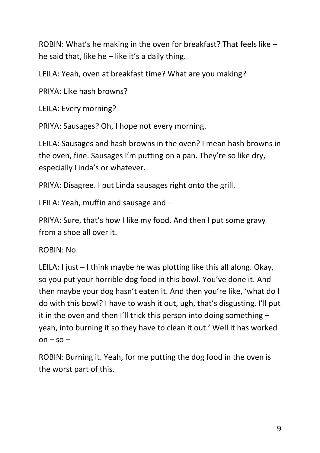ROBIN: What's he making in the oven for breakfast? That feels like – he said that, like he  $-$  like it's a daily thing.

LEILA: Yeah, oven at breakfast time? What are you making?

PRIYA: Like hash browns?

LEILA: Every morning?

PRIYA: Sausages? Oh, I hope not every morning.

LEILA: Sausages and hash browns in the oven? I mean hash browns in the oven, fine. Sausages I'm putting on a pan. They're so like dry, especially Linda's or whatever.

PRIYA: Disagree. I put Linda sausages right onto the grill.

LEILA: Yeah, muffin and sausage and –

PRIYA: Sure, that's how I like my food. And then I put some gravy from a shoe all over it.

ROBIN: No.

LEILA: I just – I think maybe he was plotting like this all along. Okay, so you put your horrible dog food in this bowl. You've done it. And then maybe your dog hasn't eaten it. And then you're like, 'what do I do with this bowl? I have to wash it out, ugh, that's disgusting. I'll put it in the oven and then I'll trick this person into doing something – yeah, into burning it so they have to clean it out.' Well it has worked  $on - so -$ 

ROBIN: Burning it. Yeah, for me putting the dog food in the oven is the worst part of this.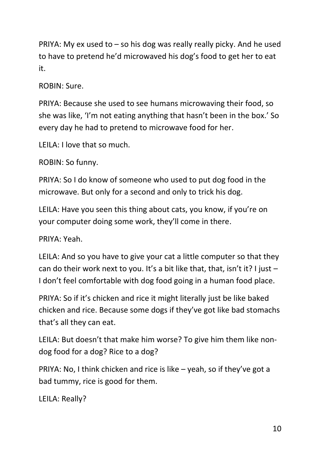PRIYA: My ex used to – so his dog was really really picky. And he used to have to pretend he'd microwaved his dog's food to get her to eat it.

ROBIN: Sure.

PRIYA: Because she used to see humans microwaving their food, so she was like, 'I'm not eating anything that hasn't been in the box.' So every day he had to pretend to microwave food for her.

LEILA: I love that so much.

ROBIN: So funny.

PRIYA: So I do know of someone who used to put dog food in the microwave. But only for a second and only to trick his dog.

LEILA: Have you seen this thing about cats, you know, if you're on your computer doing some work, they'll come in there.

PRIYA: Yeah.

LEILA: And so you have to give your cat a little computer so that they can do their work next to you. It's a bit like that, that, isn't it? I just  $-$ I don't feel comfortable with dog food going in a human food place.

PRIYA: So if it's chicken and rice it might literally just be like baked chicken and rice. Because some dogs if they've got like bad stomachs that's all they can eat.

LEILA: But doesn't that make him worse? To give him them like nondog food for a dog? Rice to a dog?

PRIYA: No, I think chicken and rice is like – yeah, so if they've got a bad tummy, rice is good for them.

LEILA: Really?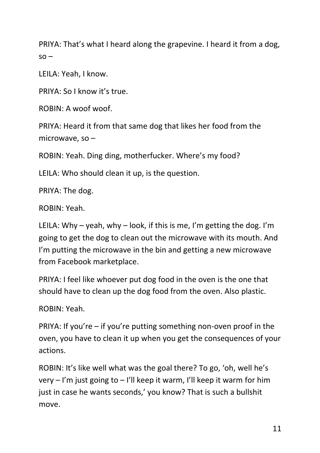PRIYA: That's what I heard along the grapevine. I heard it from a dog,  $SO -$ 

LEILA: Yeah, I know.

PRIYA: So I know it's true.

ROBIN: A woof woof.

PRIYA: Heard it from that same dog that likes her food from the microwave, so –

ROBIN: Yeah. Ding ding, motherfucker. Where's my food?

LEILA: Who should clean it up, is the question.

PRIYA: The dog.

ROBIN: Yeah.

LEILA: Why – yeah, why – look, if this is me, I'm getting the dog. I'm going to get the dog to clean out the microwave with its mouth. And I'm putting the microwave in the bin and getting a new microwave from Facebook marketplace.

PRIYA: I feel like whoever put dog food in the oven is the one that should have to clean up the dog food from the oven. Also plastic.

ROBIN: Yeah.

PRIYA: If you're – if you're putting something non-oven proof in the oven, you have to clean it up when you get the consequences of your actions.

ROBIN: It's like well what was the goal there? To go, 'oh, well he's very – I'm just going to – I'll keep it warm, I'll keep it warm for him just in case he wants seconds,' you know? That is such a bullshit move.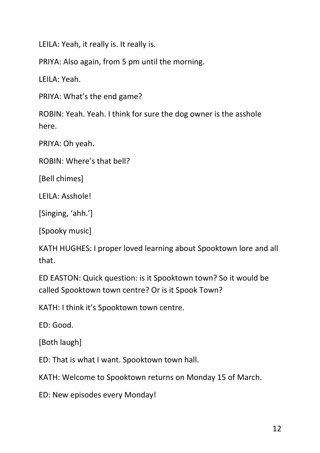LEILA: Yeah, it really is. It really is.

PRIYA: Also again, from 5 pm until the morning.

LEILA: Yeah.

PRIYA: What's the end game?

ROBIN: Yeah. Yeah. I think for sure the dog owner is the asshole here.

PRIYA: Oh yeah.

ROBIN: Where's that bell?

[Bell chimes]

LEILA: Asshole!

[Singing, 'ahh.']

[Spooky music]

KATH HUGHES: I proper loved learning about Spooktown lore and all that.

ED EASTON: Quick question: is it Spooktown town? So it would be called Spooktown town centre? Or is it Spook Town?

KATH: I think it's Spooktown town centre.

ED: Good.

[Both laugh]

ED: That is what I want. Spooktown town hall.

KATH: Welcome to Spooktown returns on Monday 15 of March.

ED: New episodes every Monday!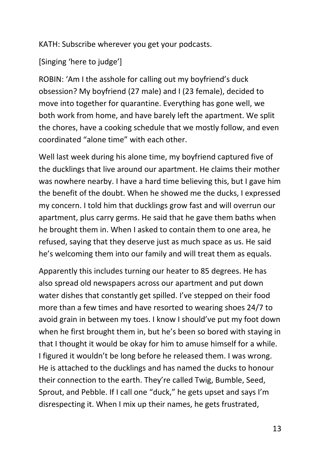KATH: Subscribe wherever you get your podcasts.

[Singing 'here to judge']

ROBIN: 'Am I the asshole for calling out my boyfriend's duck obsession? My boyfriend (27 male) and I (23 female), decided to move into together for quarantine. Everything has gone well, we both work from home, and have barely left the apartment. We split the chores, have a cooking schedule that we mostly follow, and even coordinated "alone time" with each other.

Well last week during his alone time, my boyfriend captured five of the ducklings that live around our apartment. He claims their mother was nowhere nearby. I have a hard time believing this, but I gave him the benefit of the doubt. When he showed me the ducks, I expressed my concern. I told him that ducklings grow fast and will overrun our apartment, plus carry germs. He said that he gave them baths when he brought them in. When I asked to contain them to one area, he refused, saying that they deserve just as much space as us. He said he's welcoming them into our family and will treat them as equals.

Apparently this includes turning our heater to 85 degrees. He has also spread old newspapers across our apartment and put down water dishes that constantly get spilled. I've stepped on their food more than a few times and have resorted to wearing shoes 24/7 to avoid grain in between my toes. I know I should've put my foot down when he first brought them in, but he's been so bored with staying in that I thought it would be okay for him to amuse himself for a while. I figured it wouldn't be long before he released them. I was wrong. He is attached to the ducklings and has named the ducks to honour their connection to the earth. They're called Twig, Bumble, Seed, Sprout, and Pebble. If I call one "duck," he gets upset and says I'm disrespecting it. When I mix up their names, he gets frustrated,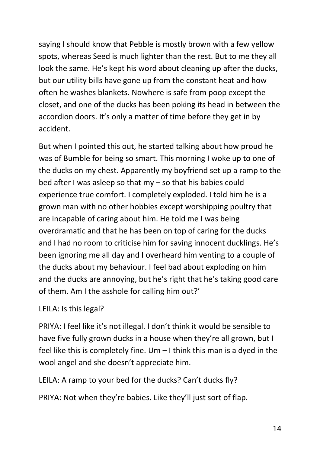saying I should know that Pebble is mostly brown with a few yellow spots, whereas Seed is much lighter than the rest. But to me they all look the same. He's kept his word about cleaning up after the ducks, but our utility bills have gone up from the constant heat and how often he washes blankets. Nowhere is safe from poop except the closet, and one of the ducks has been poking its head in between the accordion doors. It's only a matter of time before they get in by accident.

But when I pointed this out, he started talking about how proud he was of Bumble for being so smart. This morning I woke up to one of the ducks on my chest. Apparently my boyfriend set up a ramp to the bed after I was asleep so that my – so that his babies could experience true comfort. I completely exploded. I told him he is a grown man with no other hobbies except worshipping poultry that are incapable of caring about him. He told me I was being overdramatic and that he has been on top of caring for the ducks and I had no room to criticise him for saving innocent ducklings. He's been ignoring me all day and I overheard him venting to a couple of the ducks about my behaviour. I feel bad about exploding on him and the ducks are annoying, but he's right that he's taking good care of them. Am I the asshole for calling him out?'

LEILA: Is this legal?

PRIYA: I feel like it's not illegal. I don't think it would be sensible to have five fully grown ducks in a house when they're all grown, but I feel like this is completely fine. Um – I think this man is a dyed in the wool angel and she doesn't appreciate him.

LEILA: A ramp to your bed for the ducks? Can't ducks fly?

PRIYA: Not when they're babies. Like they'll just sort of flap.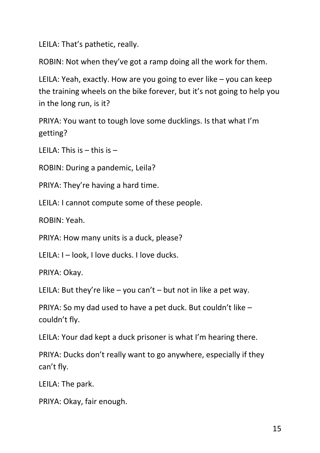LEILA: That's pathetic, really.

ROBIN: Not when they've got a ramp doing all the work for them.

LEILA: Yeah, exactly. How are you going to ever like – you can keep the training wheels on the bike forever, but it's not going to help you in the long run, is it?

PRIYA: You want to tough love some ducklings. Is that what I'm getting?

LEILA: This is  $-$  this is  $-$ 

ROBIN: During a pandemic, Leila?

PRIYA: They're having a hard time.

LEILA: I cannot compute some of these people.

ROBIN: Yeah.

PRIYA: How many units is a duck, please?

LEILA: I – look, I love ducks. I love ducks.

PRIYA: Okay.

LEILA: But they're like – you can't – but not in like a pet way.

PRIYA: So my dad used to have a pet duck. But couldn't like – couldn't fly.

LEILA: Your dad kept a duck prisoner is what I'm hearing there.

PRIYA: Ducks don't really want to go anywhere, especially if they can't fly.

LEILA: The park.

PRIYA: Okay, fair enough.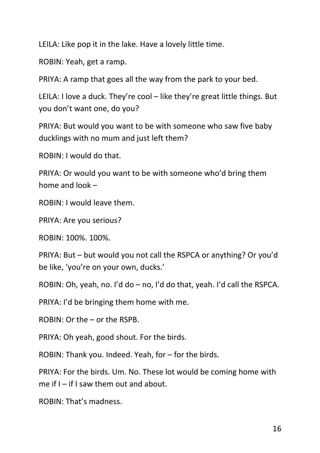LEILA: Like pop it in the lake. Have a lovely little time.

ROBIN: Yeah, get a ramp.

PRIYA: A ramp that goes all the way from the park to your bed.

LEILA: I love a duck. They're cool – like they're great little things. But you don't want one, do you?

PRIYA: But would you want to be with someone who saw five baby ducklings with no mum and just left them?

ROBIN: I would do that.

PRIYA: Or would you want to be with someone who'd bring them home and look –

ROBIN: I would leave them.

PRIYA: Are you serious?

ROBIN: 100%. 100%.

PRIYA: But – but would you not call the RSPCA or anything? Or you'd be like, 'you're on your own, ducks.'

ROBIN: Oh, yeah, no. I'd do – no, I'd do that, yeah. I'd call the RSPCA.

PRIYA: I'd be bringing them home with me.

ROBIN: Or the – or the RSPB.

PRIYA: Oh yeah, good shout. For the birds.

ROBIN: Thank you. Indeed. Yeah, for – for the birds.

PRIYA: For the birds. Um. No. These lot would be coming home with me if  $I -$  if I saw them out and about.

ROBIN: That's madness.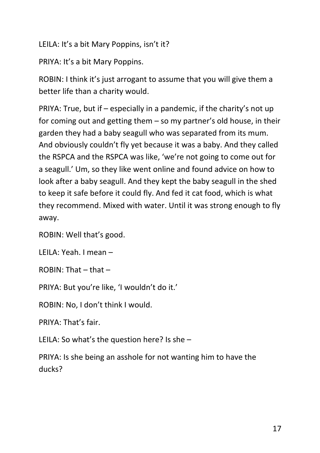LEILA: It's a bit Mary Poppins, isn't it?

PRIYA: It's a bit Mary Poppins.

ROBIN: I think it's just arrogant to assume that you will give them a better life than a charity would.

PRIYA: True, but if – especially in a pandemic, if the charity's not up for coming out and getting them – so my partner's old house, in their garden they had a baby seagull who was separated from its mum. And obviously couldn't fly yet because it was a baby. And they called the RSPCA and the RSPCA was like, 'we're not going to come out for a seagull.' Um, so they like went online and found advice on how to look after a baby seagull. And they kept the baby seagull in the shed to keep it safe before it could fly. And fed it cat food, which is what they recommend. Mixed with water. Until it was strong enough to fly away.

ROBIN: Well that's good.

LEILA: Yeah. I mean –

ROBIN: That – that –

PRIYA: But you're like, 'I wouldn't do it.'

ROBIN: No, I don't think I would.

PRIYA: That's fair.

LEILA: So what's the question here? Is she –

PRIYA: Is she being an asshole for not wanting him to have the ducks?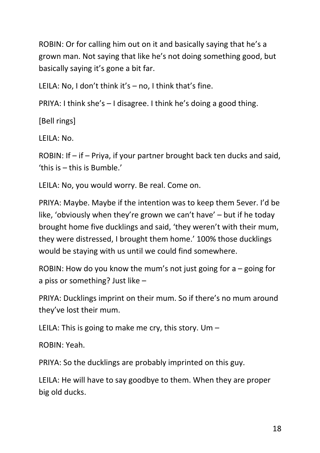ROBIN: Or for calling him out on it and basically saying that he's a grown man. Not saying that like he's not doing something good, but basically saying it's gone a bit far.

LEILA: No, I don't think it's – no, I think that's fine.

PRIYA: I think she's – I disagree. I think he's doing a good thing.

[Bell rings]

LEILA: No.

ROBIN: If – if – Priya, if your partner brought back ten ducks and said, 'this is – this is Bumble.'

LEILA: No, you would worry. Be real. Come on.

PRIYA: Maybe. Maybe if the intention was to keep them 5ever. I'd be like, 'obviously when they're grown we can't have' – but if he today brought home five ducklings and said, 'they weren't with their mum, they were distressed, I brought them home.' 100% those ducklings would be staying with us until we could find somewhere.

ROBIN: How do you know the mum's not just going for a – going for a piss or something? Just like –

PRIYA: Ducklings imprint on their mum. So if there's no mum around they've lost their mum.

LEILA: This is going to make me cry, this story. Um –

ROBIN: Yeah.

PRIYA: So the ducklings are probably imprinted on this guy.

LEILA: He will have to say goodbye to them. When they are proper big old ducks.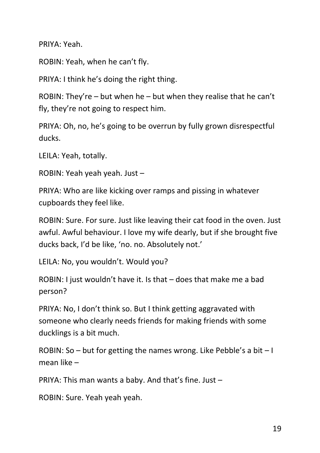PRIYA: Yeah.

ROBIN: Yeah, when he can't fly.

PRIYA: I think he's doing the right thing.

ROBIN: They're – but when he – but when they realise that he can't fly, they're not going to respect him.

PRIYA: Oh, no, he's going to be overrun by fully grown disrespectful ducks.

LEILA: Yeah, totally.

ROBIN: Yeah yeah yeah. Just –

PRIYA: Who are like kicking over ramps and pissing in whatever cupboards they feel like.

ROBIN: Sure. For sure. Just like leaving their cat food in the oven. Just awful. Awful behaviour. I love my wife dearly, but if she brought five ducks back, I'd be like, 'no. no. Absolutely not.'

LEILA: No, you wouldn't. Would you?

ROBIN: I just wouldn't have it. Is that – does that make me a bad person?

PRIYA: No, I don't think so. But I think getting aggravated with someone who clearly needs friends for making friends with some ducklings is a bit much.

ROBIN: So – but for getting the names wrong. Like Pebble's a bit  $-1$ mean like –

PRIYA: This man wants a baby. And that's fine. Just –

ROBIN: Sure. Yeah yeah yeah.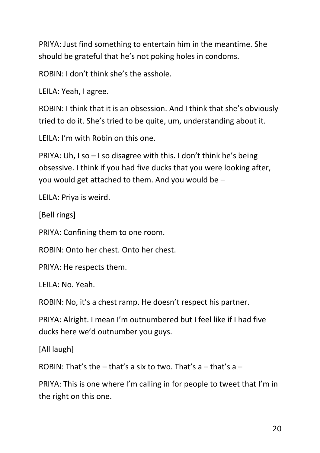PRIYA: Just find something to entertain him in the meantime. She should be grateful that he's not poking holes in condoms.

ROBIN: I don't think she's the asshole.

LEILA: Yeah, I agree.

ROBIN: I think that it is an obsession. And I think that she's obviously tried to do it. She's tried to be quite, um, understanding about it.

LEILA: I'm with Robin on this one.

PRIYA: Uh, I so – I so disagree with this. I don't think he's being obsessive. I think if you had five ducks that you were looking after, you would get attached to them. And you would be –

LEILA: Priya is weird.

[Bell rings]

PRIYA: Confining them to one room.

ROBIN: Onto her chest. Onto her chest.

PRIYA: He respects them.

LEILA: No. Yeah.

ROBIN: No, it's a chest ramp. He doesn't respect his partner.

PRIYA: Alright. I mean I'm outnumbered but I feel like if I had five ducks here we'd outnumber you guys.

[All laugh]

ROBIN: That's the  $-$  that's a six to two. That's  $a -$  that's  $a -$ 

PRIYA: This is one where I'm calling in for people to tweet that I'm in the right on this one.